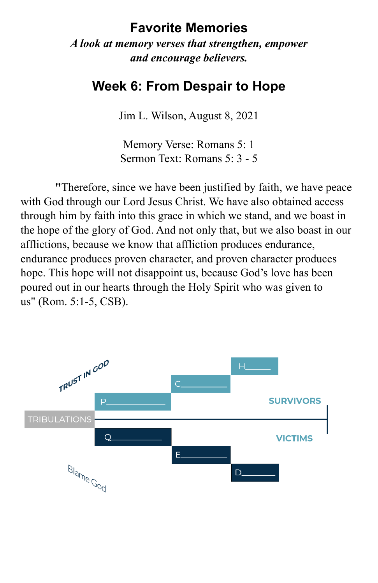## **Favorite Memories**

*A look at memory verses that strengthen, empower and encourage believers.* 

## **Week 6: From Despair to Hope**

Jim L. Wilson, August 8, 2021

Memory Verse: Romans 5: 1 Sermon Text: Romans 5: 3 - 5

**"**Therefore, since we have been justified by faith, we have peace with God through our Lord Jesus Christ. We have also obtained access through him by faith into this grace in which we stand, and we boast in the hope of the glory of God. And not only that, but we also boast in our afflictions, because we know that affliction produces endurance, endurance produces proven character, and proven character produces hope. This hope will not disappoint us, because God's love has been poured out in our hearts through the Holy Spirit who was given to us" (Rom. 5:1-5, CSB).